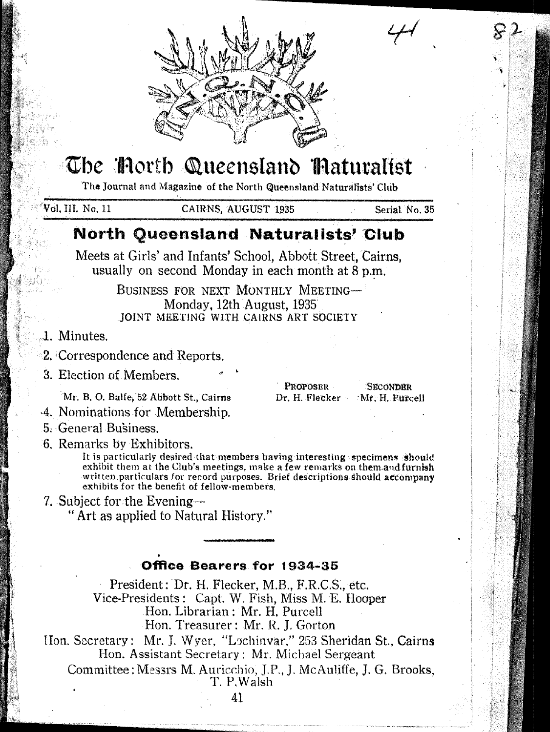

# The Thorth Queensland Thaturalist

The Journal and Magazine of the North Queensland Naturalists' Club

Vol. III. No. 11

CAIRNS, AUGUST 1935

Serial No. 35

**SECONDRR** 

Mr. H. Purcell

## North Queensland Naturalists' Club

Meets at Girls' and Infants' School, Abbott Street, Cairns, usually on second Monday in each month at 8 p.m.

> BUSINESS FOR NEXT MONTHLY MEETING-Monday, 12th August, 1935 JOINT MEETING WITH CAIRNS ART SOCIETY

- 1. Minutes.
- 2. Correspondence and Reports.
- 3. Election of Members.

Mr. B. O. Balfe, 52 Abbott St., Cairns

- 4. Nominations for Membership.
- 5. General Business.
- 6. Remarks by Exhibitors.

It is particularly desired that members having interesting specimens should exhibit them at the Club's meetings, make a few remarks on them and furnish written particulars for record purposes. Brief descriptions should accompany exhibits for the benefit of fellow-members.

**PROPOSER** 

Dr. H. Flecker

7. Subject for the Evening-

"Art as applied to Natural History."

## Office Bearers for 1934-35

President: Dr. H. Flecker, M.B., F.R.C.S., etc. Vice-Presidents: Capt. W. Fish, Miss M. E. Hooper Hon. Librarian: Mr. H. Purcell Hon. Treasurer: Mr. R. J. Gorton

Hon. Secretary: Mr. J. Wyer, "Lochinvar," 253 Sheridan St., Cairns Hon. Assistant Secretary: Mr. Michael Sergeant

Committee: Messrs M. Auricchio, J.P., J. McAuliffe, J. G. Brooks. T. P.Walsh

41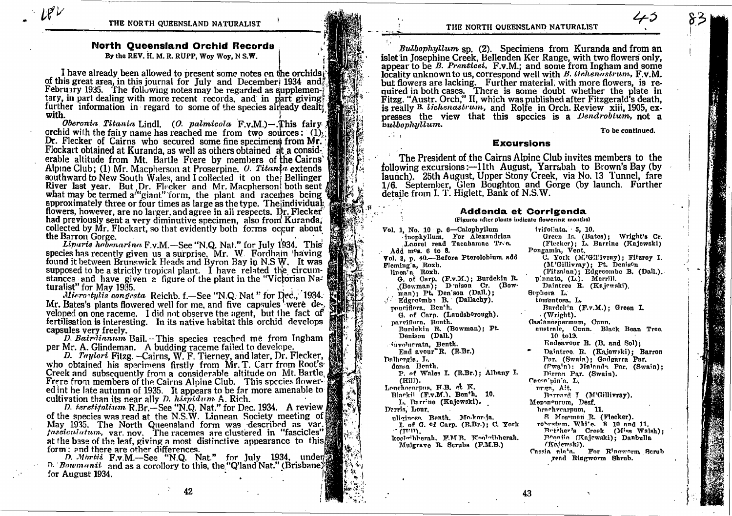THE NORTH QUEENSLAND NATURALIST

## **North Oueensland Orchid Records**

By the REV. H. M. R. RUPP. Woy Woy, N S.W.

I have already been allowed to present some notes on the orchids of this great area, in this journal for July and December 1934 and February 1935. The following notes may be regarded as supplementary, in part dealing with more recent records, and in part giving. further information in regard to some of the species already dealt? with.

Oberonia Titania Lindl. (O. palmicola F.v.M.)-This fairy 1 orchid with the fairy name has reached me from two sources:  $(1)$ Dr. Flecker of Cairns who secured some fine specimens from Mr. Flockart obtained at Kuranda, as well as others obtained at a considerable altitude from Mt. Bartle Frere by members of the Cairns' Alpine Club; (1) Mr. Macpherson at Proserpine. *0. Titanta* extends southward to New South Wales, and I collected it on the Bellinger River last year. But Dr. Flecker and Mr. Macpherson both sent what may be termed a"giant" form, the plant and racemes being approximately three or four times as large as the type. The individual: flowers, however, are no larger, and agree in all respects. Dr. Flecker had previously sent a very diminutive specimen, also from Kuranda, collected by Mr. Flockart, so that evidently both forms occur about the Barron Gorge.

*Liparis hebenarina* F.v.M.—See "N.Q. Nat." for July 1934. This species has recently given us a surprise, Mr. W. Fordham having found it between Brunswick Heads and Byron Bay in N.S.W. It was supposed to be a strictly tropical plant. I have related the circumstances and have given a figure of the plant in the "Victorian Naturalist" for May 1935.

Microstylis congesta Reichb. f.-See "N.Q. Nat" for Dec., 1934. Mr. Bates's plants flowered well for me, and five capsules were developed on one raceme. I did not observe the agent. but the fact of fertilisation is interesting. In its native habitat this orchid develops capsules very freely.

D. Bairdianum Bail.—This species reached me from Ingham per Mr. A. Glindeman. A budding raceme failed to develope.

D. Taylori Fitzg. - Cairns, W. F. Tierney, and later, Dr. Flecker, who obtained his specimens firstly from Mr. T. Carr from Root's Creek and subsequently from a considerable altitude on Mt. Bartle, Frere from members of the Cairns Alpine Club. This species flowered int he late autumn of 1935. It appears to be far more amenable to cultivation than its near ally  $D$ .  $h$ *ispidum*  $A$ . Rich.

D. teretitolium R.Br.—See "N.Q. Nat." for Dec. 1934. A review of the species was read at the N.S.W. Linnean Society meeting of May 1935. The North Queensland form was described as var. *tasciculatum, var. nov.* The racemes are clustered in "fascicles" at the base of the leaf, giving a most distinctive appearance to this form: and there are other differences.

D. Mortii F.v.M.-See "N.Q. Nat." for July 1934, under D. Bowmanii and as a corollory to this, the "Q'land Nat." (Brisbane) for August 1934.

#### THE NORTH QUEENSLAND NATURALIST

*Bulbophyllum* sp. (2). Specimens from Kuranda and from an islet in Josephine Creek, Bellenden Ker Range, with two flowers only. appear to be B. Prenticei, F.v.M.; and some from Ingham and some locality unknown to us, correspond well with B. lichenastrum, F.v.M. but flowers are lacking. Further material, with more flowers, is required in both cases. There is some doubt whether the plate in Fitzg. "Austr. Orch," II, which was published after Fitzgerald's death, is really B. *lichenastrum*, and Rolfe in Orch. Review xiii. 1905. expresses the view that this species is a *Dendrobium*, not a bulbophullum.

To be continued.

### **Excursions**

 $\mathcal{L}^{\mathcal{L}}_{\mathcal{A}}$  .  $\mathcal{L}$ 

The President of the Cairns Alpine Club invites members to the following excursions:—11th August, Yarrabah to Brown's Bay (by Jaunch). 25th August, Upper Stony Creek, via No. 13 Tunnel, fare 1/6. September, Glen Boughton and Gorge (by launch. Further detaile from I. T. Higlett, Bank of N.S.W.

#### Addenda et Corrigenda (Figures after plants indicate flowering months)

Vol. 1, No. 10 p. 6-Calophyllum inophyllum. For Alexandrian Laurel read Tacahamac Tree. Add mos. 6 to 8. Vol. 3, p. 40.-Before Pterolobium add Fleming'a, Roxb.<br>linea'a Roxb. G. of Carp. (F.v.M.); Burdekin R. (Bowman); D nison Cr. (Bow-<br>man); Pt. Den'son (Dall.); Sephora L. Edgecomb B. (Dallachy). pouciflora. Ben'h. G. of Carp. (Landsb<sup>o</sup>rough). parviflora, Benth. Burdekin R. (Bowman); Pt. Denison (Dall.) involuerata, Benth. End avour R. (R.Br.) Dalhergia, L. densa Benth. P. of Wales I. (R.Br.); Albany I. (Hill). Lonchocarpus, H.B. et K. nrgn, Ait. Blackii (F.v.M.), Benth. 10. L. Barrine (Kajewski). Derris, Lour. uliginosa Benth. Mo-kor-ja. I. of G. of Carp. (R.Br.); C. York  $\sim$   $\epsilon$ ttin). koolwibberah, F.M.B. Koolwibberah. Mulgrave R. Scrubs (F.M.B.)

trifoliata. 5. 10. Green Is. (Bates); Wright's Cr. (Flecker); L. Barrine (Kajewski) Pongamin, Vent. C. York (M'Gillivray): Fitzrov I. (M'Gillivray); Pt. Denison (Fitzalan); Edgecombe B. (Dall.). pinnata, (L.). Merrill.<br>Daintree R. (Kajewski). tomentora, L. Burdek'n (F.v.M.): Green I. (Wright). Castanospermum. Cunn. australe. Cunn. Black Bean Tree.  $10 \text{ to } 12.$ Endeavour R. (B. and Sol); Daintree R. (Kajewski): Barron Par. (Swain): Gadgarra Par. (Ewain); Malanda Par. (Swain); Dirran Par. (Swain). Caesa'pin'a, L. Bornard I (M'Gillivray). Mezoneurum. Desf. brachvearpum. 11. S Mossman R. (Flecker). robestem. White. 8 10 and 11. Butcher's Creek (Miss Walsh); Bearin (Kajewski); Danbulla (Kajewski). Cassia ala'a. For Ringworm Scrub read Ringworm Shrub.